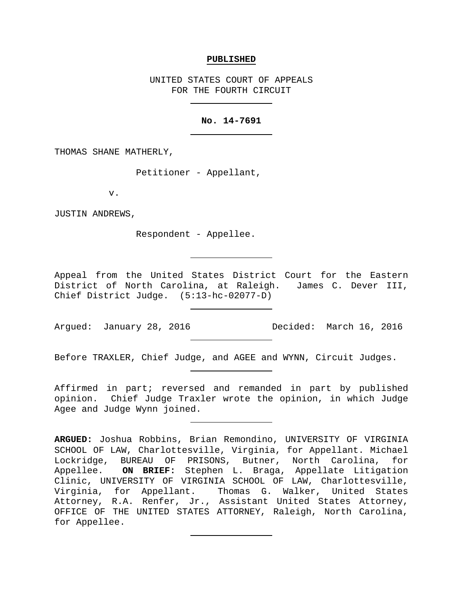#### **PUBLISHED**

UNITED STATES COURT OF APPEALS FOR THE FOURTH CIRCUIT

## **No. 14-7691**

THOMAS SHANE MATHERLY,

Petitioner - Appellant,

v.

JUSTIN ANDREWS,

Respondent - Appellee.

Appeal from the United States District Court for the Eastern District of North Carolina, at Raleigh. James C. Dever III, Chief District Judge. (5:13-hc-02077-D)

Argued: January 28, 2016 Decided: March 16, 2016

Before TRAXLER, Chief Judge, and AGEE and WYNN, Circuit Judges.

Affirmed in part; reversed and remanded in part by published opinion. Chief Judge Traxler wrote the opinion, in which Judge Agee and Judge Wynn joined.

**ARGUED:** Joshua Robbins, Brian Remondino, UNIVERSITY OF VIRGINIA SCHOOL OF LAW, Charlottesville, Virginia, for Appellant. Michael Lockridge, BUREAU OF PRISONS, Butner, North Carolina, for<br>Appellee. ON BRIEF: Stephen L. Braga, Appellate Litigation ON BRIEF: Stephen L. Braga, Appellate Litigation Clinic, UNIVERSITY OF VIRGINIA SCHOOL OF LAW, Charlottesville, Virginia, for Appellant. Thomas G. Walker, United States Attorney, R.A. Renfer, Jr., Assistant United States Attorney, OFFICE OF THE UNITED STATES ATTORNEY, Raleigh, North Carolina, for Appellee.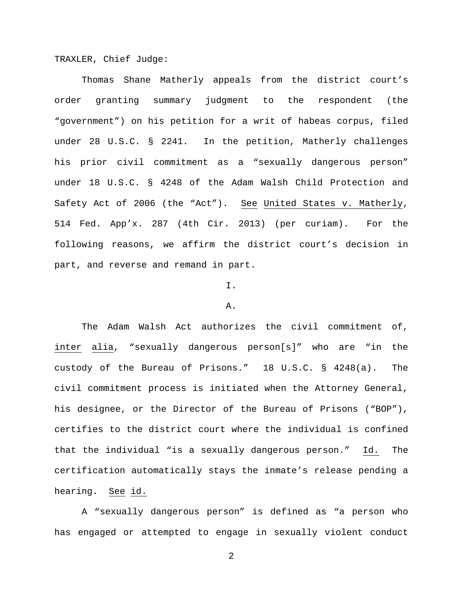TRAXLER, Chief Judge:

Thomas Shane Matherly appeals from the district court's order granting summary judgment to the respondent (the "government") on his petition for a writ of habeas corpus, filed under 28 U.S.C. § 2241. In the petition, Matherly challenges his prior civil commitment as a "sexually dangerous person" under 18 U.S.C. § 4248 of the Adam Walsh Child Protection and Safety Act of 2006 (the "Act"). See United States v. Matherly, 514 Fed. App'x. 287 (4th Cir. 2013) (per curiam). For the following reasons, we affirm the district court's decision in part, and reverse and remand in part.

## I.

#### A.

The Adam Walsh Act authorizes the civil commitment of, inter alia, "sexually dangerous person[s]" who are "in the custody of the Bureau of Prisons." 18 U.S.C. § 4248(a). The civil commitment process is initiated when the Attorney General, his designee, or the Director of the Bureau of Prisons ("BOP"), certifies to the district court where the individual is confined that the individual "is a sexually dangerous person." Id. The certification automatically stays the inmate's release pending a hearing. See id.

A "sexually dangerous person" is defined as "a person who has engaged or attempted to engage in sexually violent conduct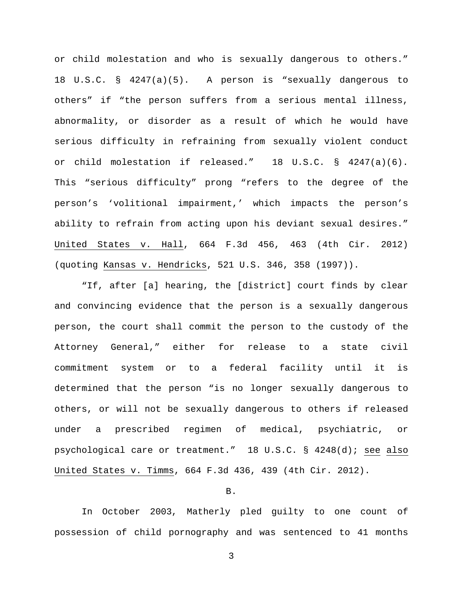or child molestation and who is sexually dangerous to others." 18 U.S.C. § 4247(a)(5). A person is "sexually dangerous to others" if "the person suffers from a serious mental illness, abnormality, or disorder as a result of which he would have serious difficulty in refraining from sexually violent conduct or child molestation if released." 18 U.S.C. § 4247(a)(6). This "serious difficulty" prong "refers to the degree of the person's 'volitional impairment,' which impacts the person's ability to refrain from acting upon his deviant sexual desires." United States v. Hall, 664 F.3d 456, 463 (4th Cir. 2012) (quoting Kansas v. Hendricks, 521 U.S. 346, 358 (1997)).

"If, after [a] hearing, the [district] court finds by clear and convincing evidence that the person is a sexually dangerous person, the court shall commit the person to the custody of the Attorney General," either for release to a state civil commitment system or to a federal facility until it is determined that the person "is no longer sexually dangerous to others, or will not be sexually dangerous to others if released under a prescribed regimen of medical, psychiatric, or psychological care or treatment." 18 U.S.C. § 4248(d); see also United States v. Timms, 664 F.3d 436, 439 (4th Cir. 2012).

## B.

In October 2003, Matherly pled guilty to one count of possession of child pornography and was sentenced to 41 months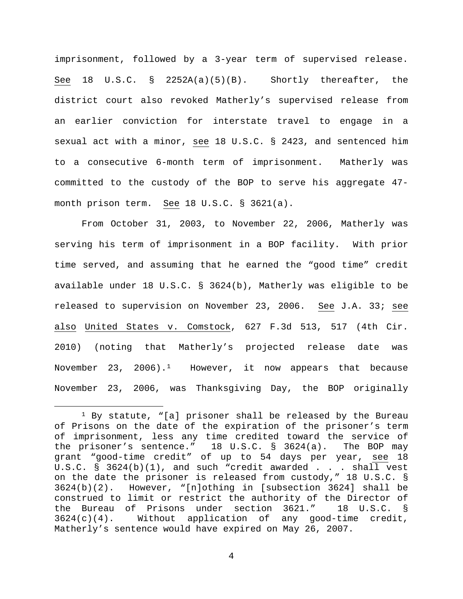imprisonment, followed by a 3-year term of supervised release. See 18 U.S.C. § 2252A(a)(5)(B). Shortly thereafter, the district court also revoked Matherly's supervised release from an earlier conviction for interstate travel to engage in a sexual act with a minor, see 18 U.S.C. § 2423, and sentenced him to a consecutive 6-month term of imprisonment. Matherly was committed to the custody of the BOP to serve his aggregate 47 month prison term. See 18 U.S.C. § 3621(a).

From October 31, 2003, to November 22, 2006, Matherly was serving his term of imprisonment in a BOP facility. With prior time served, and assuming that he earned the "good time" credit available under 18 U.S.C. § 3624(b), Matherly was eligible to be released to supervision on November 23, 2006. See J.A. 33; see also United States v. Comstock, 627 F.3d 513, 517 (4th Cir. 2010) (noting that Matherly's projected release date was November 23, 2006).<sup>1</sup> However, it now appears that because November 23, 2006, was Thanksgiving Day, the BOP originally

<span id="page-3-0"></span><sup>&</sup>lt;sup>1</sup> By statute, "[a] prisoner shall be released by the Bureau of Prisons on the date of the expiration of the prisoner's term of imprisonment, less any time credited toward the service of<br>the prisoner's sentence." 18 U.S.C. § 3624(a). The BOP may the prisoner's sentence." 18 U.S.C.  $\S$  3624(a). grant "good-time credit" of up to 54 days per year, see 18 U.S.C. § 3624(b)(1), and such "credit awarded . . . shall vest on the date the prisoner is released from custody," 18 U.S.C. § 3624(b)(2). However, "[n]othing in [subsection 3624] shall be construed to limit or restrict the authority of the Director of the Bureau of Prisons under section 3621." 18 U.S.C. §<br>3624(c)(4). Without application of any good-time credit,  $3624(c)(4)$ . Without application of Matherly's sentence would have expired on May 26, 2007.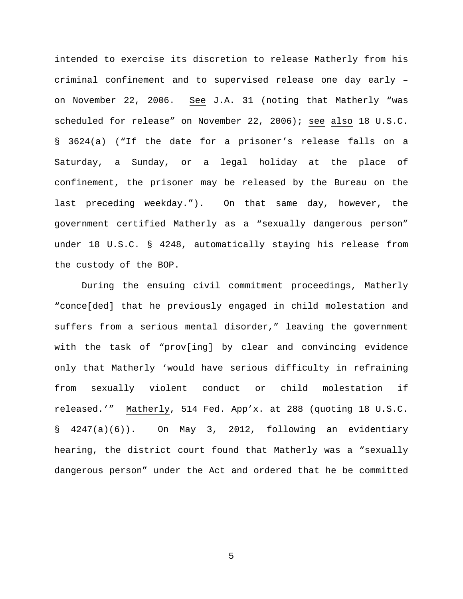intended to exercise its discretion to release Matherly from his criminal confinement and to supervised release one day early – on November 22, 2006. See J.A. 31 (noting that Matherly "was scheduled for release" on November 22, 2006); see also 18 U.S.C. § 3624(a) ("If the date for a prisoner's release falls on a Saturday, a Sunday, or a legal holiday at the place of confinement, the prisoner may be released by the Bureau on the last preceding weekday."). On that same day, however, the government certified Matherly as a "sexually dangerous person" under 18 U.S.C. § 4248, automatically staying his release from the custody of the BOP.

During the ensuing civil commitment proceedings, Matherly "conce[ded] that he previously engaged in child molestation and suffers from a serious mental disorder," leaving the government with the task of "prov[ing] by clear and convincing evidence only that Matherly 'would have serious difficulty in refraining from sexually violent conduct or child molestation if released.'" Matherly, 514 Fed. App'x. at 288 (quoting 18 U.S.C. § 4247(a)(6)). On May 3, 2012, following an evidentiary hearing, the district court found that Matherly was a "sexually dangerous person" under the Act and ordered that he be committed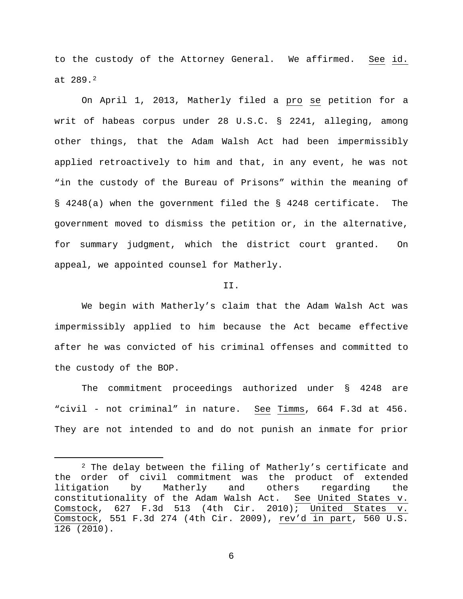to the custody of the Attorney General. We affirmed. See id. at 289.[2](#page-5-0)

On April 1, 2013, Matherly filed a pro se petition for a writ of habeas corpus under 28 U.S.C. § 2241, alleging, among other things, that the Adam Walsh Act had been impermissibly applied retroactively to him and that, in any event, he was not "in the custody of the Bureau of Prisons" within the meaning of § 4248(a) when the government filed the § 4248 certificate. The government moved to dismiss the petition or, in the alternative, for summary judgment, which the district court granted. On appeal, we appointed counsel for Matherly.

### II.

We begin with Matherly's claim that the Adam Walsh Act was impermissibly applied to him because the Act became effective after he was convicted of his criminal offenses and committed to the custody of the BOP.

The commitment proceedings authorized under § 4248 are "civil - not criminal" in nature. See Timms, 664 F.3d at 456. They are not intended to and do not punish an inmate for prior

<span id="page-5-0"></span><sup>&</sup>lt;sup>2</sup> The delay between the filing of Matherly's certificate and the order of civil commitment was the product of extended<br>litigation by Matherly and others regarding the litigation by Matherly and others regarding the<br>constitutionality of the Adam Walsh Act. See United States v. constitutionality of the Adam Walsh Act. Comstock, 627 F.3d 513 (4th Cir. 2010); United States v. Comstock, 551 F.3d 274 (4th Cir. 2009), rev'd in part, 560 U.S. 126 (2010).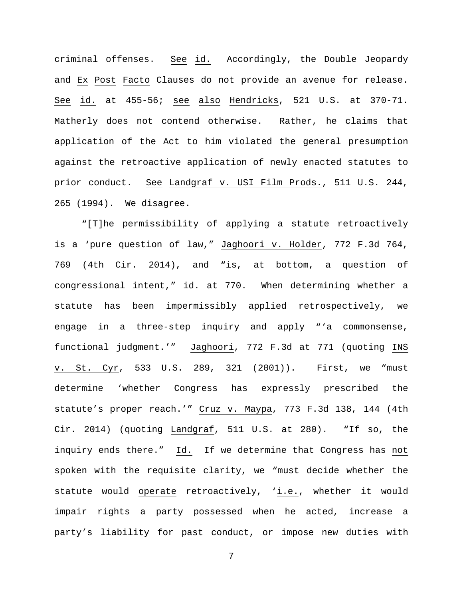criminal offenses. See id. Accordingly, the Double Jeopardy and Ex Post Facto Clauses do not provide an avenue for release. See id. at 455-56; see also Hendricks, 521 U.S. at 370-71. Matherly does not contend otherwise. Rather, he claims that application of the Act to him violated the general presumption against the retroactive application of newly enacted statutes to prior conduct. See Landgraf v. USI Film Prods., 511 U.S. 244, 265 (1994). We disagree.

"[T]he permissibility of applying a statute retroactively is a 'pure question of law," Jaghoori v. Holder, 772 F.3d 764, 769 (4th Cir. 2014), and "is, at bottom, a question of congressional intent," id. at 770. When determining whether a statute has been impermissibly applied retrospectively, we engage in a three-step inquiry and apply "'a commonsense, functional judgment.'" Jaghoori, 772 F.3d at 771 (quoting INS v. St. Cyr, 533 U.S. 289, 321 (2001)). First, we "must determine 'whether Congress has expressly prescribed the statute's proper reach.'" Cruz v. Maypa, 773 F.3d 138, 144 (4th Cir. 2014) (quoting Landgraf, 511 U.S. at 280). "If so, the inquiry ends there." Id. If we determine that Congress has not spoken with the requisite clarity, we "must decide whether the statute would operate retroactively, 'i.e., whether it would impair rights a party possessed when he acted, increase a party's liability for past conduct, or impose new duties with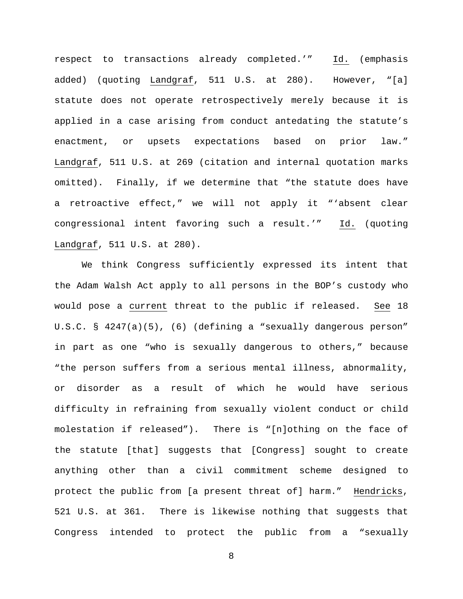respect to transactions already completed.'" Id. (emphasis added) (quoting Landgraf, 511 U.S. at 280). However, "[a] statute does not operate retrospectively merely because it is applied in a case arising from conduct antedating the statute's enactment, or upsets expectations based on prior law." Landgraf, 511 U.S. at 269 (citation and internal quotation marks omitted). Finally, if we determine that "the statute does have a retroactive effect," we will not apply it "'absent clear congressional intent favoring such a result.'" Id. (quoting Landgraf, 511 U.S. at 280).

We think Congress sufficiently expressed its intent that the Adam Walsh Act apply to all persons in the BOP's custody who would pose a current threat to the public if released. See 18 U.S.C. § 4247(a)(5), (6) (defining a "sexually dangerous person" in part as one "who is sexually dangerous to others," because "the person suffers from a serious mental illness, abnormality, or disorder as a result of which he would have serious difficulty in refraining from sexually violent conduct or child molestation if released"). There is "[n]othing on the face of the statute [that] suggests that [Congress] sought to create anything other than a civil commitment scheme designed to protect the public from [a present threat of] harm." Hendricks, 521 U.S. at 361. There is likewise nothing that suggests that Congress intended to protect the public from a "sexually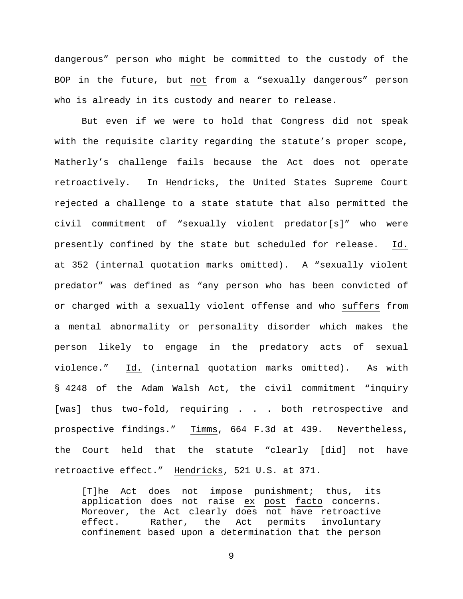dangerous" person who might be committed to the custody of the BOP in the future, but not from a "sexually dangerous" person who is already in its custody and nearer to release.

But even if we were to hold that Congress did not speak with the requisite clarity regarding the statute's proper scope, Matherly's challenge fails because the Act does not operate retroactively. In Hendricks, the United States Supreme Court rejected a challenge to a state statute that also permitted the civil commitment of "sexually violent predator[s]" who were presently confined by the state but scheduled for release. Id. at 352 (internal quotation marks omitted). A "sexually violent predator" was defined as "any person who has been convicted of or charged with a sexually violent offense and who suffers from a mental abnormality or personality disorder which makes the person likely to engage in the predatory acts of sexual violence." Id. (internal quotation marks omitted). As with § 4248 of the Adam Walsh Act, the civil commitment "inquiry [was] thus two-fold, requiring . . . both retrospective and prospective findings." Timms, 664 F.3d at 439. Nevertheless, the Court held that the statute "clearly [did] not have retroactive effect." Hendricks, 521 U.S. at 371.

[T]he Act does not impose punishment; thus, its application does not raise ex post facto concerns. Moreover, the Act clearly does not have retroactive effect. Rather, the Act permits involuntary confinement based upon a determination that the person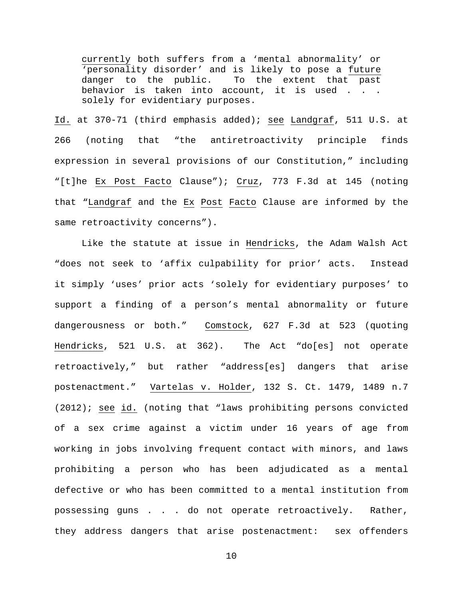currently both suffers from a 'mental abnormality' or 'personality disorder' and is likely to pose a future<br>danger to the public. To the extent that past To the extent that past behavior is taken into account, it is used . . . solely for evidentiary purposes.

Id. at 370-71 (third emphasis added); see Landgraf, 511 U.S. at 266 (noting that "the antiretroactivity principle finds expression in several provisions of our Constitution," including "[t]he Ex Post Facto Clause"); Cruz, 773 F.3d at 145 (noting that "Landgraf and the Ex Post Facto Clause are informed by the same retroactivity concerns").

Like the statute at issue in Hendricks, the Adam Walsh Act "does not seek to 'affix culpability for prior' acts. Instead it simply 'uses' prior acts 'solely for evidentiary purposes' to support a finding of a person's mental abnormality or future dangerousness or both." Comstock, 627 F.3d at 523 (quoting Hendricks, 521 U.S. at 362). The Act "do[es] not operate retroactively," but rather "address[es] dangers that arise postenactment." Vartelas v. Holder, 132 S. Ct. 1479, 1489 n.7 (2012); see id. (noting that "laws prohibiting persons convicted of a sex crime against a victim under 16 years of age from working in jobs involving frequent contact with minors, and laws prohibiting a person who has been adjudicated as a mental defective or who has been committed to a mental institution from possessing guns . . . do not operate retroactively. Rather, they address dangers that arise postenactment: sex offenders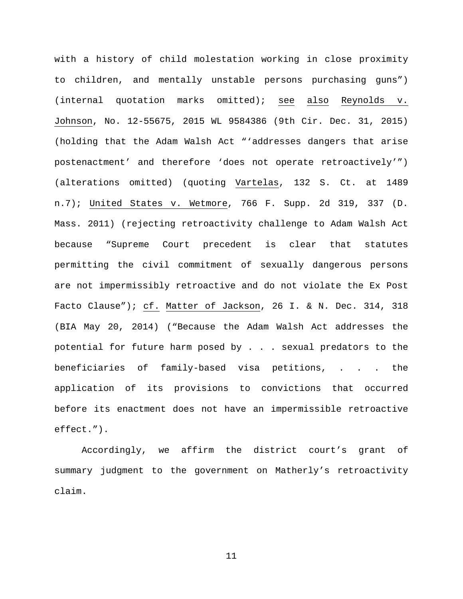with a history of child molestation working in close proximity to children, and mentally unstable persons purchasing guns") (internal quotation marks omitted); see also Reynolds v. Johnson, No. 12-55675, 2015 WL 9584386 (9th Cir. Dec. 31, 2015) (holding that the Adam Walsh Act "'addresses dangers that arise postenactment' and therefore 'does not operate retroactively'") (alterations omitted) (quoting Vartelas, 132 S. Ct. at 1489 n.7); United States v. Wetmore, 766 F. Supp. 2d 319, 337 (D. Mass. 2011) (rejecting retroactivity challenge to Adam Walsh Act because "Supreme Court precedent is clear that statutes permitting the civil commitment of sexually dangerous persons are not impermissibly retroactive and do not violate the Ex Post Facto Clause"); cf. Matter of Jackson, 26 I. & N. Dec. 314, 318 (BIA May 20, 2014) ("Because the Adam Walsh Act addresses the potential for future harm posed by . . . sexual predators to the beneficiaries of family-based visa petitions, . . . the application of its provisions to convictions that occurred before its enactment does not have an impermissible retroactive effect.").

Accordingly, we affirm the district court's grant of summary judgment to the government on Matherly's retroactivity claim.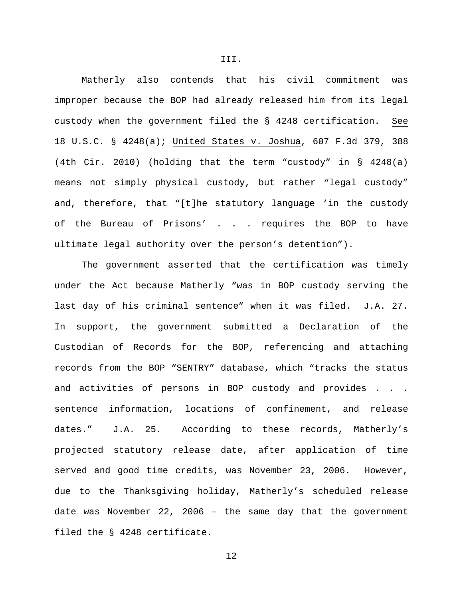Matherly also contends that his civil commitment was improper because the BOP had already released him from its legal custody when the government filed the § 4248 certification. See 18 U.S.C. § 4248(a); United States v. Joshua, 607 F.3d 379, 388 (4th Cir. 2010) (holding that the term "custody" in § 4248(a) means not simply physical custody, but rather "legal custody" and, therefore, that "[t]he statutory language 'in the custody of the Bureau of Prisons' . . . requires the BOP to have ultimate legal authority over the person's detention").

III.

The government asserted that the certification was timely under the Act because Matherly "was in BOP custody serving the last day of his criminal sentence" when it was filed. J.A. 27. In support, the government submitted a Declaration of the Custodian of Records for the BOP, referencing and attaching records from the BOP "SENTRY" database, which "tracks the status and activities of persons in BOP custody and provides . . . sentence information, locations of confinement, and release dates." J.A. 25. According to these records, Matherly's projected statutory release date, after application of time served and good time credits, was November 23, 2006. However, due to the Thanksgiving holiday, Matherly's scheduled release date was November 22, 2006 – the same day that the government filed the § 4248 certificate.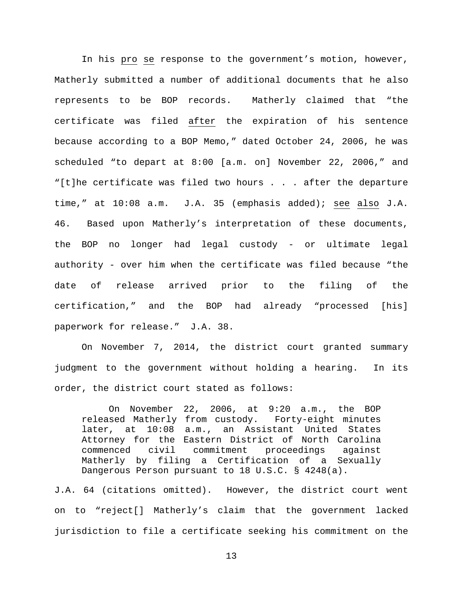In his pro se response to the government's motion, however, Matherly submitted a number of additional documents that he also represents to be BOP records. Matherly claimed that "the certificate was filed after the expiration of his sentence because according to a BOP Memo," dated October 24, 2006, he was scheduled "to depart at 8:00 [a.m. on] November 22, 2006," and "[t]he certificate was filed two hours . . . after the departure time," at 10:08 a.m. J.A. 35 (emphasis added); see also J.A. 46. Based upon Matherly's interpretation of these documents, the BOP no longer had legal custody - or ultimate legal authority - over him when the certificate was filed because "the date of release arrived prior to the filing of the certification," and the BOP had already "processed [his] paperwork for release." J.A. 38.

On November 7, 2014, the district court granted summary judgment to the government without holding a hearing. In its order, the district court stated as follows:

On November 22, 2006, at 9:20 a.m., the BOP released Matherly from custody. Forty-eight minutes later, at 10:08 a.m., an Assistant United States Attorney for the Eastern District of North Carolina<br>commenced civil commitment proceedings against commenced civil commitment proceedings against Matherly by filing a Certification of a Sexually Dangerous Person pursuant to 18 U.S.C. § 4248(a).

J.A. 64 (citations omitted). However, the district court went on to "reject[] Matherly's claim that the government lacked jurisdiction to file a certificate seeking his commitment on the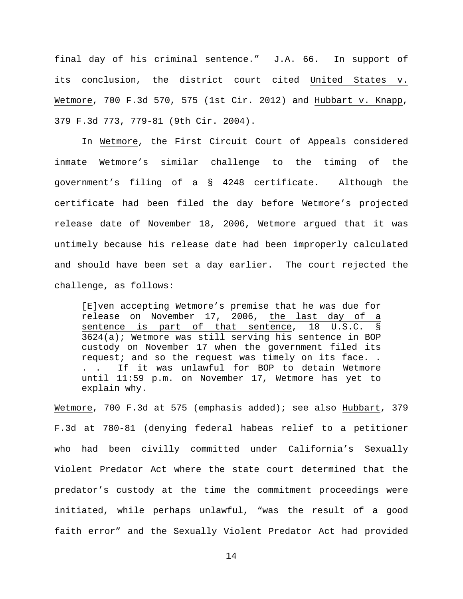final day of his criminal sentence." J.A. 66. In support of its conclusion, the district court cited United States v. Wetmore, 700 F.3d 570, 575 (1st Cir. 2012) and Hubbart v. Knapp, 379 F.3d 773, 779-81 (9th Cir. 2004).

In Wetmore, the First Circuit Court of Appeals considered inmate Wetmore's similar challenge to the timing of the government's filing of a § 4248 certificate. Although the certificate had been filed the day before Wetmore's projected release date of November 18, 2006, Wetmore argued that it was untimely because his release date had been improperly calculated and should have been set a day earlier. The court rejected the challenge, as follows:

[E]ven accepting Wetmore's premise that he was due for release on November 17, 2006, the last day of a sentence is part of that sentence, 18 U.S.C. § 3624(a); Wetmore was still serving his sentence in BOP custody on November 17 when the government filed its request; and so the request was timely on its face. . . . If it was unlawful for BOP to detain Wetmore until 11:59 p.m. on November 17, Wetmore has yet to explain why.

Wetmore, 700 F.3d at 575 (emphasis added); see also Hubbart, 379 F.3d at 780-81 (denying federal habeas relief to a petitioner who had been civilly committed under California's Sexually Violent Predator Act where the state court determined that the predator's custody at the time the commitment proceedings were initiated, while perhaps unlawful, "was the result of a good faith error" and the Sexually Violent Predator Act had provided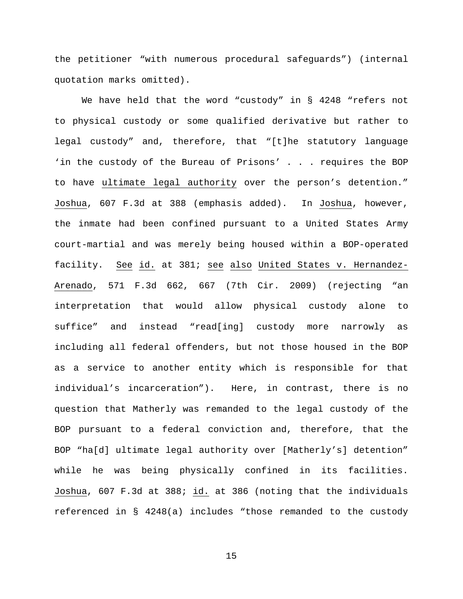the petitioner "with numerous procedural safeguards") (internal quotation marks omitted).

We have held that the word "custody" in § 4248 "refers not to physical custody or some qualified derivative but rather to legal custody" and, therefore, that "[t]he statutory language 'in the custody of the Bureau of Prisons' . . . requires the BOP to have ultimate legal authority over the person's detention." Joshua, 607 F.3d at 388 (emphasis added). In Joshua, however, the inmate had been confined pursuant to a United States Army court-martial and was merely being housed within a BOP-operated facility. See id. at 381; see also United States v. Hernandez-Arenado, 571 F.3d 662, 667 (7th Cir. 2009) (rejecting "an interpretation that would allow physical custody alone to suffice" and instead "read[ing] custody more narrowly as including all federal offenders, but not those housed in the BOP as a service to another entity which is responsible for that individual's incarceration"). Here, in contrast, there is no question that Matherly was remanded to the legal custody of the BOP pursuant to a federal conviction and, therefore, that the BOP "ha[d] ultimate legal authority over [Matherly's] detention" while he was being physically confined in its facilities. Joshua, 607 F.3d at 388; id. at 386 (noting that the individuals referenced in § 4248(a) includes "those remanded to the custody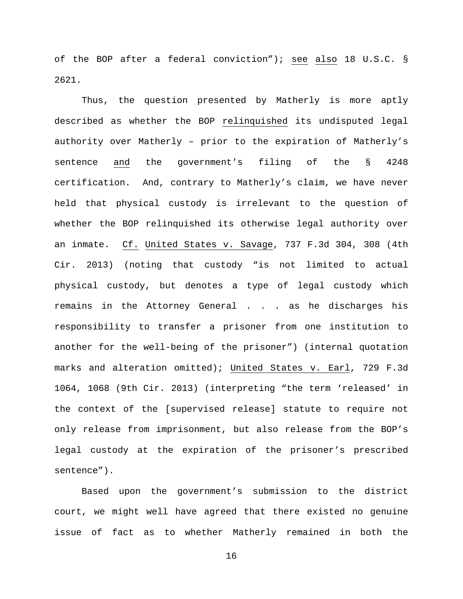of the BOP after a federal conviction"); see also 18 U.S.C. § 2621.

Thus, the question presented by Matherly is more aptly described as whether the BOP relinquished its undisputed legal authority over Matherly – prior to the expiration of Matherly's sentence and the government's filing of the § 4248 certification. And, contrary to Matherly's claim, we have never held that physical custody is irrelevant to the question of whether the BOP relinquished its otherwise legal authority over an inmate. Cf. United States v. Savage, 737 F.3d 304, 308 (4th Cir. 2013) (noting that custody "is not limited to actual physical custody, but denotes a type of legal custody which remains in the Attorney General . . . as he discharges his responsibility to transfer a prisoner from one institution to another for the well-being of the prisoner") (internal quotation marks and alteration omitted); United States v. Earl, 729 F.3d 1064, 1068 (9th Cir. 2013) (interpreting "the term 'released' in the context of the [supervised release] statute to require not only release from imprisonment, but also release from the BOP's legal custody at the expiration of the prisoner's prescribed sentence").

Based upon the government's submission to the district court, we might well have agreed that there existed no genuine issue of fact as to whether Matherly remained in both the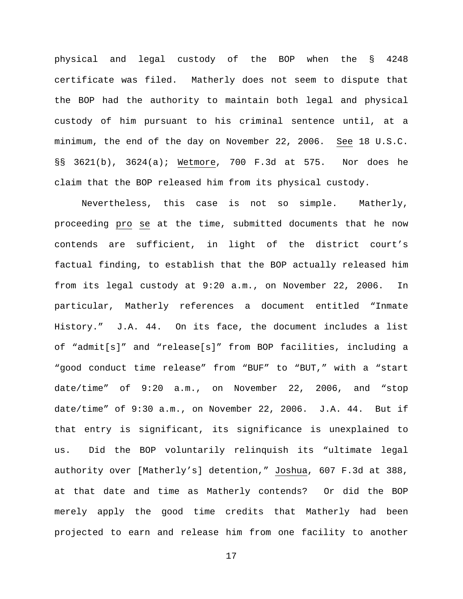physical and legal custody of the BOP when the § 4248 certificate was filed. Matherly does not seem to dispute that the BOP had the authority to maintain both legal and physical custody of him pursuant to his criminal sentence until, at a minimum, the end of the day on November 22, 2006. See 18 U.S.C. §§ 3621(b), 3624(a); Wetmore, 700 F.3d at 575. Nor does he claim that the BOP released him from its physical custody.

Nevertheless, this case is not so simple. Matherly, proceeding pro se at the time, submitted documents that he now contends are sufficient, in light of the district court's factual finding, to establish that the BOP actually released him from its legal custody at 9:20 a.m., on November 22, 2006. In particular, Matherly references a document entitled "Inmate History." J.A. 44. On its face, the document includes a list of "admit[s]" and "release[s]" from BOP facilities, including a "good conduct time release" from "BUF" to "BUT," with a "start date/time" of 9:20 a.m., on November 22, 2006, and "stop date/time" of 9:30 a.m., on November 22, 2006. J.A. 44. But if that entry is significant, its significance is unexplained to us. Did the BOP voluntarily relinquish its "ultimate legal authority over [Matherly's] detention," Joshua, 607 F.3d at 388, at that date and time as Matherly contends? Or did the BOP merely apply the good time credits that Matherly had been projected to earn and release him from one facility to another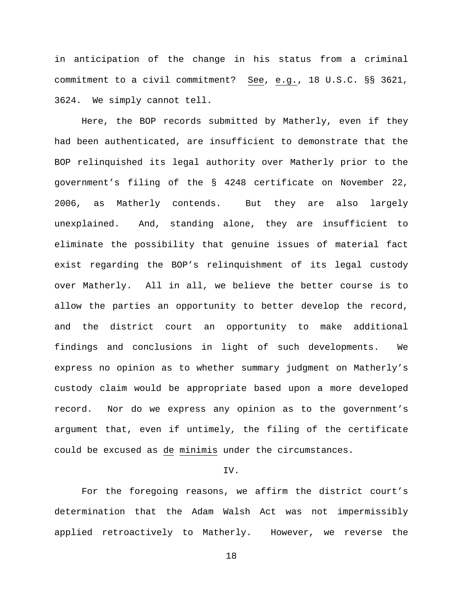in anticipation of the change in his status from a criminal commitment to a civil commitment? See, e.g., 18 U.S.C. §§ 3621, 3624. We simply cannot tell.

Here, the BOP records submitted by Matherly, even if they had been authenticated, are insufficient to demonstrate that the BOP relinquished its legal authority over Matherly prior to the government's filing of the § 4248 certificate on November 22, 2006, as Matherly contends. But they are also largely unexplained. And, standing alone, they are insufficient to eliminate the possibility that genuine issues of material fact exist regarding the BOP's relinquishment of its legal custody over Matherly. All in all, we believe the better course is to allow the parties an opportunity to better develop the record, and the district court an opportunity to make additional findings and conclusions in light of such developments. We express no opinion as to whether summary judgment on Matherly's custody claim would be appropriate based upon a more developed record. Nor do we express any opinion as to the government's argument that, even if untimely, the filing of the certificate could be excused as de minimis under the circumstances.

# IV.

For the foregoing reasons, we affirm the district court's determination that the Adam Walsh Act was not impermissibly applied retroactively to Matherly. However, we reverse the